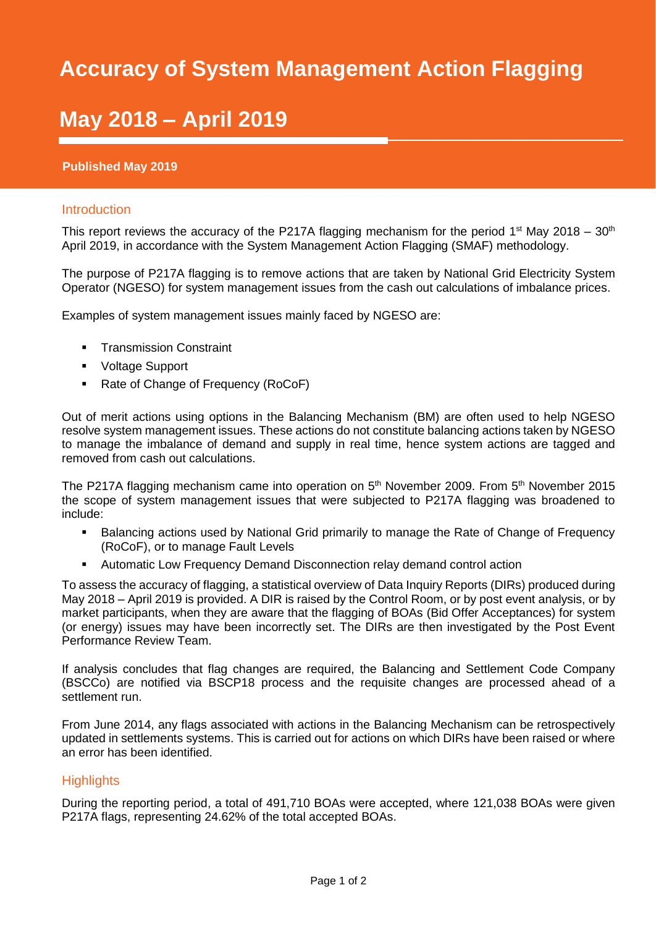## SMAF Report 2018/19 **Accuracy of System Management Action Flagging**

# **May 2018 - April 2019**

#### **Published May 2019**

#### Introduction

This report reviews the accuracy of the P217A flagging mechanism for the period 1<sup>st</sup> May 2018 – 30<sup>th</sup> April 2019, in accordance with the System Management Action Flagging (SMAF) methodology.

The purpose of P217A flagging is to remove actions that are taken by National Grid Electricity System Operator (NGESO) for system management issues from the cash out calculations of imbalance prices.

Examples of system management issues mainly faced by NGESO are:

- **•** Transmission Constraint
- Voltage Support
- Rate of Change of Frequency (RoCoF)

Out of merit actions using options in the Balancing Mechanism (BM) are often used to help NGESO resolve system management issues. These actions do not constitute balancing actions taken by NGESO to manage the imbalance of demand and supply in real time, hence system actions are tagged and removed from cash out calculations.

The P217A flagging mechanism came into operation on  $5<sup>th</sup>$  November 2009. From  $5<sup>th</sup>$  November 2015 the scope of system management issues that were subjected to P217A flagging was broadened to include:

- Balancing actions used by National Grid primarily to manage the Rate of Change of Frequency (RoCoF), or to manage Fault Levels
- Automatic Low Frequency Demand Disconnection relay demand control action

To assess the accuracy of flagging, a statistical overview of Data Inquiry Reports (DIRs) produced during May 2018 – April 2019 is provided. A DIR is raised by the Control Room, or by post event analysis, or by market participants, when they are aware that the flagging of BOAs (Bid Offer Acceptances) for system (or energy) issues may have been incorrectly set. The DIRs are then investigated by the Post Event Performance Review Team.

If analysis concludes that flag changes are required, the Balancing and Settlement Code Company (BSCCo) are notified via BSCP18 process and the requisite changes are processed ahead of a settlement run.

From June 2014, any flags associated with actions in the Balancing Mechanism can be retrospectively updated in settlements systems. This is carried out for actions on which DIRs have been raised or where an error has been identified.

### **Highlights**

During the reporting period, a total of 491,710 BOAs were accepted, where 121,038 BOAs were given P217A flags, representing 24.62% of the total accepted BOAs.